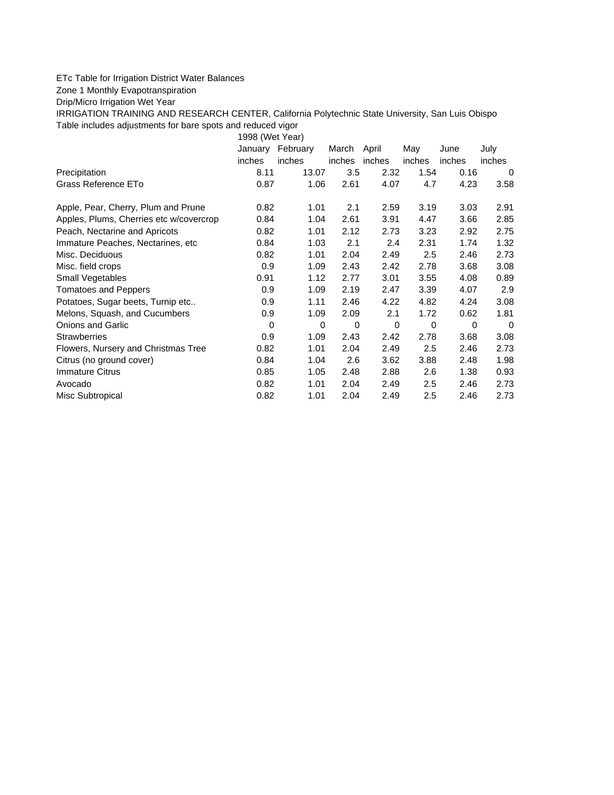## ETc Table for Irrigation District Water Balances

## Zone 1 Monthly Evapotranspiration

Drip/Micro Irrigation Wet Year

IRRIGATION TRAINING AND RESEARCH CENTER, California Polytechnic State University, San Luis Obispo Table includes adjustments for bare spots and reduced vigor

1998 (Wet Year)

| January | February | March                                                                                                                   | April                                                                                                                                                       | May                                            | June                                                                                                                                                                                    | July                                                                                                                                                                                                   |
|---------|----------|-------------------------------------------------------------------------------------------------------------------------|-------------------------------------------------------------------------------------------------------------------------------------------------------------|------------------------------------------------|-----------------------------------------------------------------------------------------------------------------------------------------------------------------------------------------|--------------------------------------------------------------------------------------------------------------------------------------------------------------------------------------------------------|
| inches  | inches   | inches                                                                                                                  |                                                                                                                                                             | inches                                         | inches                                                                                                                                                                                  | inches                                                                                                                                                                                                 |
| 8.11    |          |                                                                                                                         |                                                                                                                                                             |                                                |                                                                                                                                                                                         | 0                                                                                                                                                                                                      |
|         |          | 2.61                                                                                                                    |                                                                                                                                                             |                                                |                                                                                                                                                                                         | 3.58                                                                                                                                                                                                   |
|         | 1.01     | 2.1                                                                                                                     |                                                                                                                                                             |                                                |                                                                                                                                                                                         | 2.91                                                                                                                                                                                                   |
|         |          | 2.61                                                                                                                    | 3.91                                                                                                                                                        |                                                |                                                                                                                                                                                         | 2.85                                                                                                                                                                                                   |
|         | 1.01     |                                                                                                                         |                                                                                                                                                             |                                                |                                                                                                                                                                                         | 2.75                                                                                                                                                                                                   |
|         |          | 2.1                                                                                                                     |                                                                                                                                                             | 2.31                                           |                                                                                                                                                                                         | 1.32                                                                                                                                                                                                   |
|         | 1.01     |                                                                                                                         |                                                                                                                                                             |                                                |                                                                                                                                                                                         | 2.73                                                                                                                                                                                                   |
|         |          |                                                                                                                         |                                                                                                                                                             |                                                |                                                                                                                                                                                         | 3.08                                                                                                                                                                                                   |
| 0.91    |          |                                                                                                                         | 3.01                                                                                                                                                        |                                                |                                                                                                                                                                                         | 0.89                                                                                                                                                                                                   |
|         |          |                                                                                                                         | 2.47                                                                                                                                                        |                                                |                                                                                                                                                                                         | 2.9                                                                                                                                                                                                    |
|         | 1.11     |                                                                                                                         |                                                                                                                                                             |                                                |                                                                                                                                                                                         | 3.08                                                                                                                                                                                                   |
|         |          |                                                                                                                         | 2.1                                                                                                                                                         |                                                |                                                                                                                                                                                         | 1.81                                                                                                                                                                                                   |
| 0       | $\Omega$ | $\Omega$                                                                                                                | $\Omega$                                                                                                                                                    | $\Omega$                                       |                                                                                                                                                                                         | $\Omega$                                                                                                                                                                                               |
|         |          |                                                                                                                         |                                                                                                                                                             |                                                |                                                                                                                                                                                         | 3.08                                                                                                                                                                                                   |
|         | 1.01     |                                                                                                                         |                                                                                                                                                             |                                                |                                                                                                                                                                                         | 2.73                                                                                                                                                                                                   |
|         |          |                                                                                                                         |                                                                                                                                                             |                                                |                                                                                                                                                                                         | 1.98                                                                                                                                                                                                   |
|         |          |                                                                                                                         |                                                                                                                                                             |                                                |                                                                                                                                                                                         | 0.93                                                                                                                                                                                                   |
|         | 1.01     |                                                                                                                         |                                                                                                                                                             |                                                |                                                                                                                                                                                         | 2.73                                                                                                                                                                                                   |
|         | 1.01     |                                                                                                                         | 2.49                                                                                                                                                        |                                                |                                                                                                                                                                                         | 2.73                                                                                                                                                                                                   |
|         |          | 0.87<br>0.82<br>0.84<br>0.82<br>0.84<br>0.82<br>0.9<br>0.9<br>0.9<br>0.9<br>0.9<br>0.82<br>0.84<br>0.85<br>0.82<br>0.82 | 3.5<br>13.07<br>1.06<br>1.04<br>1.03<br>2.04<br>1.09<br>1.12<br>2.77<br>1.09<br>2.19<br>1.09<br>2.09<br>1.09<br>2.04<br>1.04<br>2.6<br>1.05<br>2.04<br>2.04 | inches<br>2.12<br>2.43<br>2.46<br>2.43<br>2.48 | 2.32<br>4.07<br>4.7<br>3.19<br>2.59<br>4.47<br>2.73<br>3.23<br>2.4<br>2.5<br>2.49<br>2.42<br>2.78<br>3.39<br>4.22<br>2.42<br>2.78<br>2.5<br>2.49<br>3.62<br>3.88<br>2.88<br>2.49<br>2.5 | 1.54<br>0.16<br>4.23<br>3.03<br>3.66<br>2.92<br>1.74<br>2.46<br>3.68<br>3.55<br>4.08<br>4.07<br>4.82<br>4.24<br>1.72<br>0.62<br>$\Omega$<br>3.68<br>2.46<br>2.48<br>2.6<br>1.38<br>2.5<br>2.46<br>2.46 |